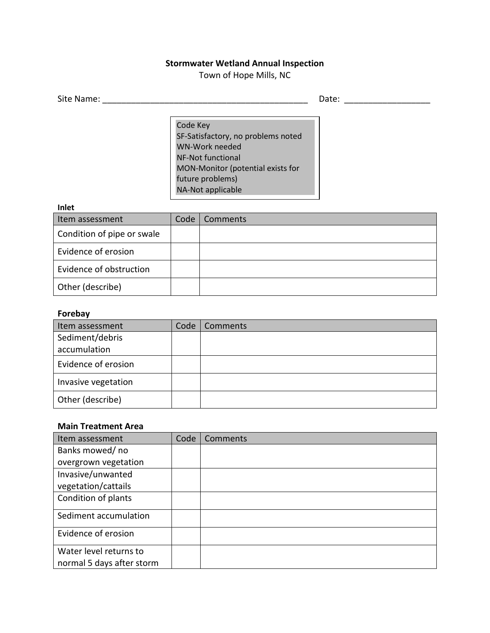# **Stormwater Wetland Annual Inspection**

Town of Hope Mills, NC

| Site Name: | -<br>$\bm{\mathsf{date}}$ : |
|------------|-----------------------------|
|            |                             |

Code Key SF-Satisfactory, no problems noted WN-Work needed NF-Not functional MON-Monitor (potential exists for future problems) NA-Not applicable

#### **Inlet**

| Item assessment            | Code | Comments |
|----------------------------|------|----------|
| Condition of pipe or swale |      |          |
| Evidence of erosion        |      |          |
| Evidence of obstruction    |      |          |
| Other (describe)           |      |          |

## **Forebay**

| Item assessment     | Code | Comments |
|---------------------|------|----------|
| Sediment/debris     |      |          |
| accumulation        |      |          |
| Evidence of erosion |      |          |
| Invasive vegetation |      |          |
| Other (describe)    |      |          |

### **Main Treatment Area**

| Item assessment           | Code | Comments |
|---------------------------|------|----------|
| Banks mowed/ no           |      |          |
| overgrown vegetation      |      |          |
| Invasive/unwanted         |      |          |
| vegetation/cattails       |      |          |
| Condition of plants       |      |          |
| Sediment accumulation     |      |          |
| Evidence of erosion       |      |          |
| Water level returns to    |      |          |
| normal 5 days after storm |      |          |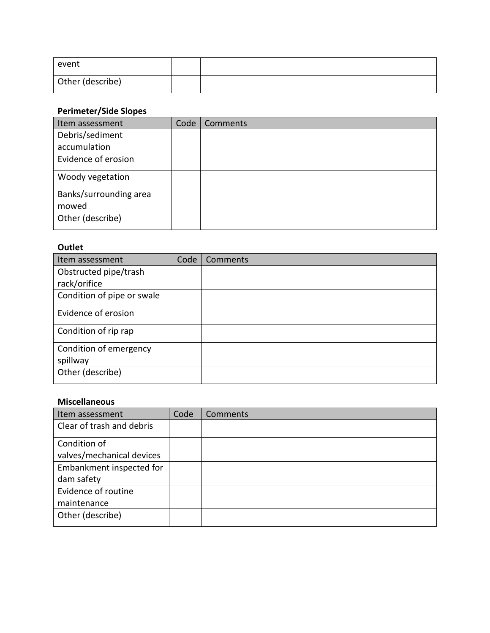| event            |  |
|------------------|--|
| Other (describe) |  |

# **Perimeter/Side Slopes**

| Item assessment        | Code | Comments |
|------------------------|------|----------|
| Debris/sediment        |      |          |
| accumulation           |      |          |
| Evidence of erosion    |      |          |
| Woody vegetation       |      |          |
| Banks/surrounding area |      |          |
| mowed                  |      |          |
| Other (describe)       |      |          |

# **Outlet**

| Item assessment            | Code | Comments |
|----------------------------|------|----------|
| Obstructed pipe/trash      |      |          |
| rack/orifice               |      |          |
| Condition of pipe or swale |      |          |
| Evidence of erosion        |      |          |
| Condition of rip rap       |      |          |
| Condition of emergency     |      |          |
| spillway                   |      |          |
| Other (describe)           |      |          |

## **Miscellaneous**

| Item assessment           | Code | Comments |
|---------------------------|------|----------|
| Clear of trash and debris |      |          |
| Condition of              |      |          |
| valves/mechanical devices |      |          |
| Embankment inspected for  |      |          |
| dam safety                |      |          |
| Evidence of routine       |      |          |
| maintenance               |      |          |
| Other (describe)          |      |          |